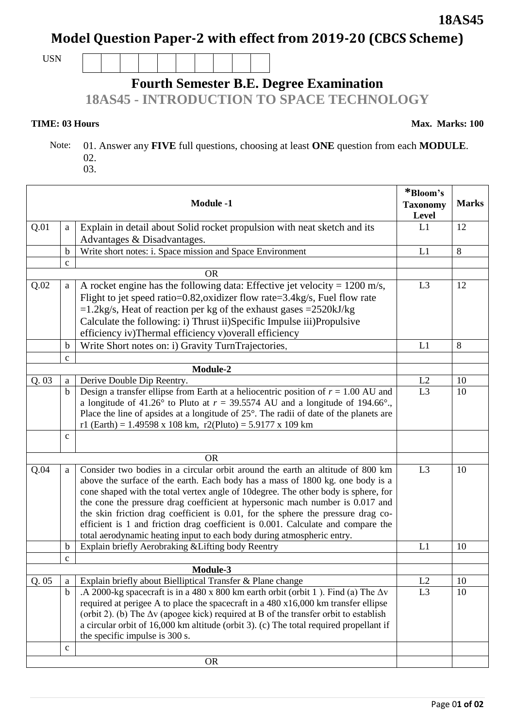## **Model Question Paper-2 with effect from 2019-20 (CBCS Scheme)**

USN

 $\overline{\phantom{a}}$ 

## **Fourth Semester B.E. Degree Examination**

**18AS45 - INTRODUCTION TO SPACE TECHNOLOGY** 

## **TIME: 03 Hours** Max. Marks: 100

 Note: 01. Answer any **FIVE** full questions, choosing at least **ONE** question from each **MODULE**. 02.

03.

| <b>Module -1</b> |              |                                                                                                                                                                                                                                                                                                                                                                                                                                                                                                                                                                                            | *Bloom's<br><b>Taxonomy</b><br>Level | <b>Marks</b> |
|------------------|--------------|--------------------------------------------------------------------------------------------------------------------------------------------------------------------------------------------------------------------------------------------------------------------------------------------------------------------------------------------------------------------------------------------------------------------------------------------------------------------------------------------------------------------------------------------------------------------------------------------|--------------------------------------|--------------|
| Q.01             | a            | Explain in detail about Solid rocket propulsion with neat sketch and its<br>Advantages & Disadvantages.                                                                                                                                                                                                                                                                                                                                                                                                                                                                                    | L1                                   | 12           |
|                  | $\mathbf b$  | Write short notes: i. Space mission and Space Environment                                                                                                                                                                                                                                                                                                                                                                                                                                                                                                                                  | L1                                   | 8            |
|                  | $\mathbf{C}$ |                                                                                                                                                                                                                                                                                                                                                                                                                                                                                                                                                                                            |                                      |              |
|                  | <b>OR</b>    |                                                                                                                                                                                                                                                                                                                                                                                                                                                                                                                                                                                            |                                      |              |
| Q.02             | a            | A rocket engine has the following data: Effective jet velocity = $1200$ m/s,<br>Flight to jet speed ratio=0.82, oxidizer flow rate=3.4kg/s, Fuel flow rate<br>$=1.2$ kg/s, Heat of reaction per kg of the exhaust gases = 2520 kJ/kg<br>Calculate the following: i) Thrust ii)Specific Impulse iii)Propulsive<br>efficiency iv)Thermal efficiency v)overall efficiency                                                                                                                                                                                                                     | L <sub>3</sub>                       | 12           |
|                  | $\mathbf b$  | Write Short notes on: i) Gravity TurnTrajectories,                                                                                                                                                                                                                                                                                                                                                                                                                                                                                                                                         | L1                                   | 8            |
|                  | $\mathbf c$  |                                                                                                                                                                                                                                                                                                                                                                                                                                                                                                                                                                                            |                                      |              |
| Module-2         |              |                                                                                                                                                                                                                                                                                                                                                                                                                                                                                                                                                                                            |                                      |              |
| Q.03             | a            | Derive Double Dip Reentry.                                                                                                                                                                                                                                                                                                                                                                                                                                                                                                                                                                 | L2                                   | 10           |
|                  | $\mathbf b$  | Design a transfer ellipse from Earth at a heliocentric position of $r = 1.00$ AU and<br>a longitude of 41.26 $^{\circ}$ to Pluto at $r = 39.5574$ AU and a longitude of 194.66 $^{\circ}$ .<br>Place the line of apsides at a longitude of $25^\circ$ . The radii of date of the planets are<br>r1 (Earth) = 1.49598 x 108 km, r2(Pluto) = 5.9177 x 109 km                                                                                                                                                                                                                                 | $\overline{L3}$                      | 10           |
|                  | $\mathbf{C}$ |                                                                                                                                                                                                                                                                                                                                                                                                                                                                                                                                                                                            |                                      |              |
|                  |              | <b>OR</b>                                                                                                                                                                                                                                                                                                                                                                                                                                                                                                                                                                                  |                                      |              |
| Q.04             | a            | Consider two bodies in a circular orbit around the earth an altitude of 800 km<br>above the surface of the earth. Each body has a mass of 1800 kg. one body is a<br>cone shaped with the total vertex angle of 10 degree. The other body is sphere, for<br>the cone the pressure drag coefficient at hypersonic mach number is 0.017 and<br>the skin friction drag coefficient is 0.01, for the sphere the pressure drag co-<br>efficient is 1 and friction drag coefficient is 0.001. Calculate and compare the<br>total aerodynamic heating input to each body during atmospheric entry. | L <sub>3</sub>                       | 10           |
|                  | $\mathbf b$  | Explain briefly Aerobraking & Lifting body Reentry                                                                                                                                                                                                                                                                                                                                                                                                                                                                                                                                         | L1                                   | 10           |
|                  | $\mathbf c$  |                                                                                                                                                                                                                                                                                                                                                                                                                                                                                                                                                                                            |                                      |              |
|                  |              | Module-3                                                                                                                                                                                                                                                                                                                                                                                                                                                                                                                                                                                   |                                      |              |
| Q.05             | a            | Explain briefly about Bielliptical Transfer & Plane change                                                                                                                                                                                                                                                                                                                                                                                                                                                                                                                                 | L2                                   | 10           |
|                  | $\mathbf b$  | .A 2000-kg spacecraft is in a 480 x 800 km earth orbit (orbit 1). Find (a) The $\Delta v$<br>required at perigee A to place the spacecraft in a 480 x16,000 km transfer ellipse<br>(orbit 2). (b) The $\Delta v$ (apogee kick) required at B of the transfer orbit to establish<br>a circular orbit of 16,000 km altitude (orbit 3). (c) The total required propellant if<br>the specific impulse is 300 s.                                                                                                                                                                                | L <sub>3</sub>                       | 10           |
|                  | $\mathbf c$  |                                                                                                                                                                                                                                                                                                                                                                                                                                                                                                                                                                                            |                                      |              |
|                  |              | <b>OR</b>                                                                                                                                                                                                                                                                                                                                                                                                                                                                                                                                                                                  |                                      |              |

**18AS45**

┑